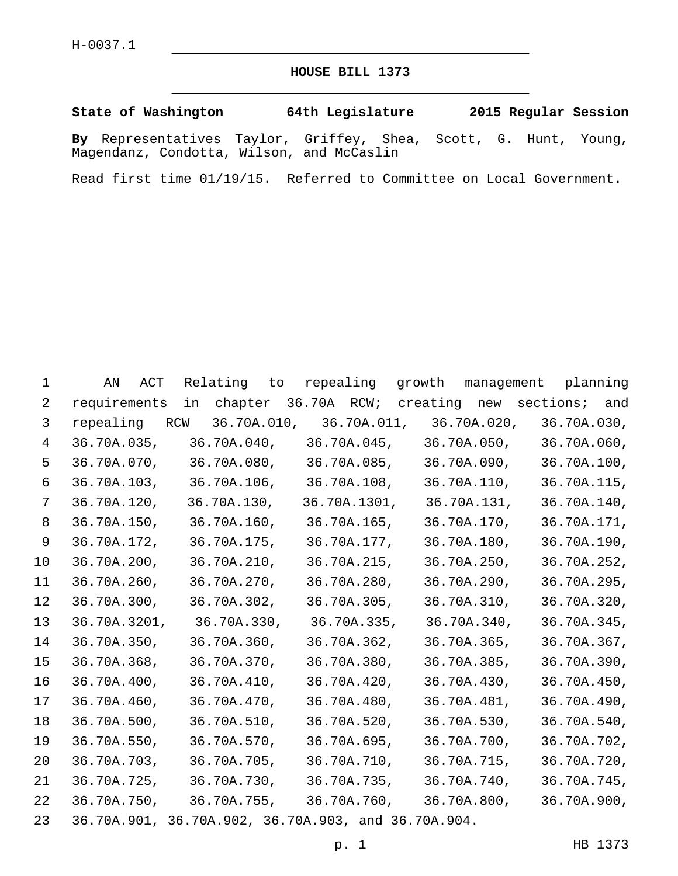## **HOUSE BILL 1373**

**State of Washington 64th Legislature 2015 Regular Session**

**By** Representatives Taylor, Griffey, Shea, Scott, G. Hunt, Young, Magendanz, Condotta, Wilson, and McCaslin

Read first time 01/19/15. Referred to Committee on Local Government.

| 1              | AN<br>ACT                                           | Relating to | repealing growth |                                                   | management planning |
|----------------|-----------------------------------------------------|-------------|------------------|---------------------------------------------------|---------------------|
| 2              | requirements                                        |             |                  | in chapter 36.70A RCW; creating new sections; and |                     |
| 3              | repealing RCW                                       |             |                  | 36.70A.010, 36.70A.011, 36.70A.020, 36.70A.030,   |                     |
| $\overline{4}$ | 36.70A.035,                                         |             |                  | 36.70A.040, 36.70A.045, 36.70A.050,               | 36.70A.060,         |
| 5              | 36.70A.070,                                         | 36.70A.080, |                  | 36.70A.085, 36.70A.090,                           | 36.70A.100,         |
| 6              |                                                     |             |                  | 36.70A.103, 36.70A.106, 36.70A.108, 36.70A.110,   | 36.70A.115,         |
| 7              | 36.70A.120,                                         | 36.70A.130, |                  | 36.70A.1301, 36.70A.131,                          | 36.70A.140,         |
| 8              | 36.70A.150,                                         | 36.70A.160, | 36.70A.165,      | 36.70A.170,                                       | 36.70A.171,         |
| 9              | 36.70A.172,                                         | 36.70A.175, | 36.70A.177,      | 36.70A.180,                                       | 36.70A.190,         |
| 10             | 36.70A.200,                                         | 36.70A.210, |                  | 36.70A.215, 36.70A.250,                           | 36.70A.252,         |
| 11             | $36.70A.260$ ,                                      | 36.70A.270, | 36.70A.280,      | 36.70A.290,                                       | 36.70A.295,         |
| 12             | 36.70A.300,                                         | 36.70A.302, | 36.70A.305,      | 36.70A.310,                                       | 36.70A.320,         |
| 13             | 36.70A.3201,                                        |             |                  | 36.70A.330, 36.70A.335, 36.70A.340,               | 36.70A.345,         |
| 14             | 36.70A.350,                                         | 36.70A.360, | 36.70A.362,      | 36.70A.365,                                       | 36.70A.367,         |
| 15             | 36.70A.368,                                         | 36.70A.370, | 36.70A.380,      | 36.70A.385,                                       | 36.70A.390,         |
| 16             | 36.70A.400,                                         | 36.70A.410, | 36.70A.420,      | 36.70A.430,                                       | 36.70A.450,         |
| 17             | 36.70A.460,                                         | 36.70A.470, | 36.70A.480,      | 36.70A.481,                                       | 36.70A.490,         |
| 18             | 36.70A.500,                                         | 36.70A.510, | 36.70A.520,      | 36.70A.530,                                       | 36.70A.540,         |
| 19             | 36.70A.550,                                         | 36.70A.570, |                  | 36.70A.695, 36.70A.700,                           | 36.70A.702,         |
| 20             | 36.70A.703,                                         | 36.70A.705, |                  | 36.70A.710, 36.70A.715,                           | 36.70A.720,         |
| 21             | 36.70A.725,                                         | 36.70A.730, |                  | 36.70A.735, 36.70A.740,                           | 36.70A.745,         |
| 22             | 36.70A.750,                                         | 36.70A.755, |                  | 36.70A.760, 36.70A.800,                           | 36.70A.900,         |
| 23             | 36.70A.901, 36.70A.902, 36.70A.903, and 36.70A.904. |             |                  |                                                   |                     |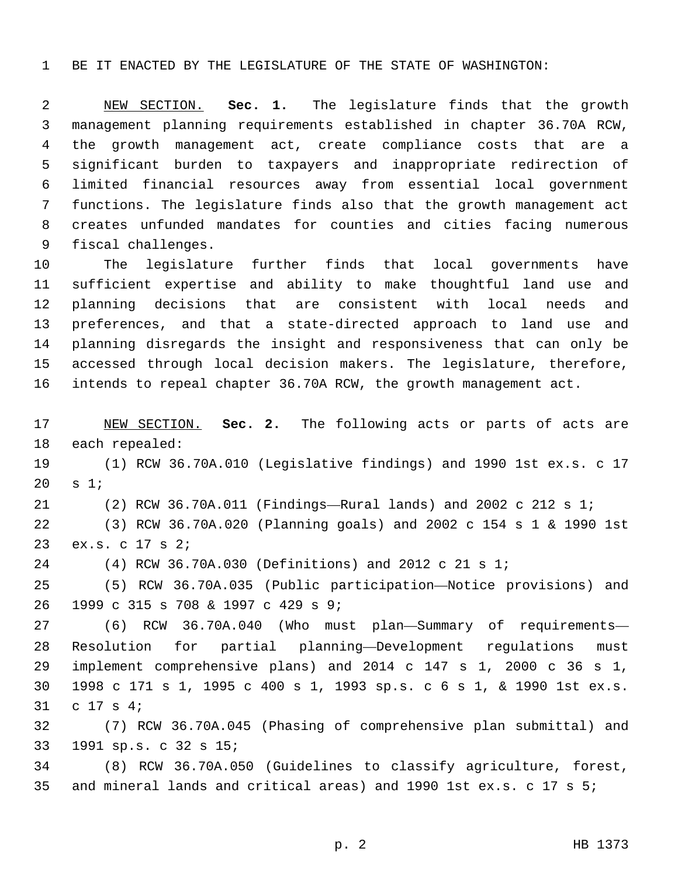BE IT ENACTED BY THE LEGISLATURE OF THE STATE OF WASHINGTON:

 NEW SECTION. **Sec. 1.** The legislature finds that the growth management planning requirements established in chapter 36.70A RCW, the growth management act, create compliance costs that are a significant burden to taxpayers and inappropriate redirection of limited financial resources away from essential local government functions. The legislature finds also that the growth management act creates unfunded mandates for counties and cities facing numerous fiscal challenges.

 The legislature further finds that local governments have sufficient expertise and ability to make thoughtful land use and planning decisions that are consistent with local needs and preferences, and that a state-directed approach to land use and planning disregards the insight and responsiveness that can only be accessed through local decision makers. The legislature, therefore, intends to repeal chapter 36.70A RCW, the growth management act.

 NEW SECTION. **Sec. 2.** The following acts or parts of acts are each repealed:

 (1) RCW 36.70A.010 (Legislative findings) and 1990 1st ex.s. c 17 s  $1i$ 

(2) RCW 36.70A.011 (Findings—Rural lands) and 2002 c 212 s 1;

 (3) RCW 36.70A.020 (Planning goals) and 2002 c 154 s 1 & 1990 1st 23 ex.s. c 17 s 2;

(4) RCW 36.70A.030 (Definitions) and 2012 c 21 s 1;

 (5) RCW 36.70A.035 (Public participation—Notice provisions) and 26 1999 c 315 s 708 & 1997 c 429 s 9;

 (6) RCW 36.70A.040 (Who must plan—Summary of requirements— Resolution for partial planning—Development regulations must implement comprehensive plans) and 2014 c 147 s 1, 2000 c 36 s 1, 1998 c 171 s 1, 1995 c 400 s 1, 1993 sp.s. c 6 s 1, & 1990 1st ex.s. 31 c 17 s 4;

 (7) RCW 36.70A.045 (Phasing of comprehensive plan submittal) and 1991 sp.s. c 32 s 15;33

 (8) RCW 36.70A.050 (Guidelines to classify agriculture, forest, and mineral lands and critical areas) and 1990 1st ex.s. c 17 s 5;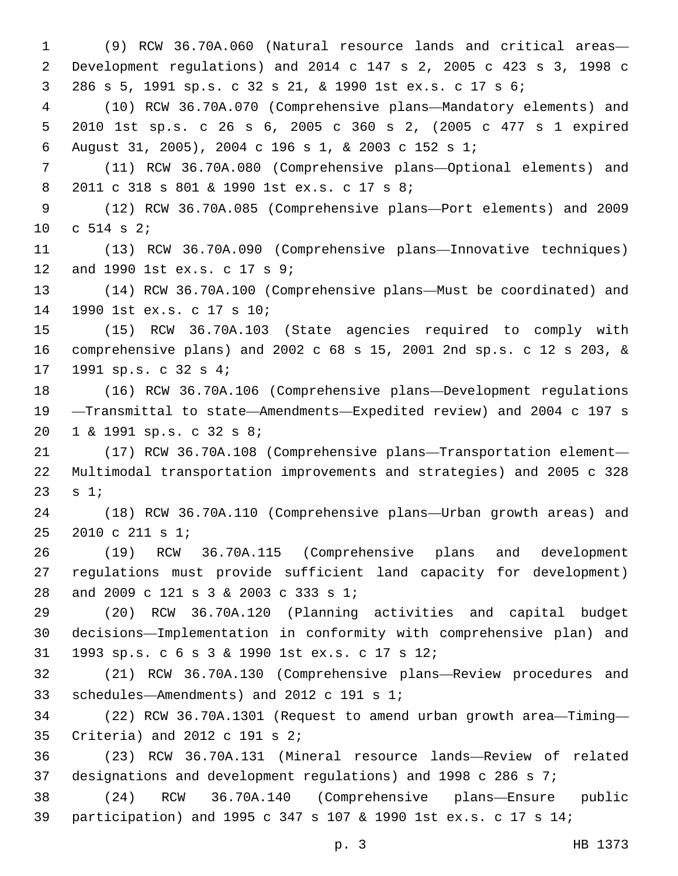(9) RCW 36.70A.060 (Natural resource lands and critical areas— Development regulations) and 2014 c 147 s 2, 2005 c 423 s 3, 1998 c 286 s 5, 1991 sp.s. c 32 s 21, & 1990 1st ex.s. c 17 s 6; (10) RCW 36.70A.070 (Comprehensive plans—Mandatory elements) and 2010 1st sp.s. c 26 s 6, 2005 c 360 s 2, (2005 c 477 s 1 expired August 31, 2005), 2004 c 196 s 1, & 2003 c 152 s 1; (11) RCW 36.70A.080 (Comprehensive plans—Optional elements) and 8 2011 c 318 s 801 & 1990 1st ex.s. c 17 s 8; (12) RCW 36.70A.085 (Comprehensive plans—Port elements) and 2009 10 c s 2; (13) RCW 36.70A.090 (Comprehensive plans—Innovative techniques) 12 and 1990 1st ex.s. c 17 s 9; (14) RCW 36.70A.100 (Comprehensive plans—Must be coordinated) and 14 1990 1st ex.s. c 17 s 10; (15) RCW 36.70A.103 (State agencies required to comply with comprehensive plans) and 2002 c 68 s 15, 2001 2nd sp.s. c 12 s 203, & 17 1991 sp.s. c 32 s 4; (16) RCW 36.70A.106 (Comprehensive plans—Development regulations —Transmittal to state—Amendments—Expedited review) and 2004 c 197 s 20 1 & 1991 sp.s. c 32 s 8; (17) RCW 36.70A.108 (Comprehensive plans—Transportation element— Multimodal transportation improvements and strategies) and 2005 c 328 23  $s 1;$  (18) RCW 36.70A.110 (Comprehensive plans—Urban growth areas) and 25 2010 c 211 s 1; (19) RCW 36.70A.115 (Comprehensive plans and development regulations must provide sufficient land capacity for development) 28 and 2009 c 121 s 3 & 2003 c 333 s 1; (20) RCW 36.70A.120 (Planning activities and capital budget decisions—Implementation in conformity with comprehensive plan) and 1993 sp.s. c 6 s 3 & 1990 1st ex.s. c 17 s 12;31 (21) RCW 36.70A.130 (Comprehensive plans—Review procedures and 33 schedules—Amendments) and 2012 c 191 s 1; (22) RCW 36.70A.1301 (Request to amend urban growth area—Timing— 35 Criteria) and 2012 c 191 s 2; (23) RCW 36.70A.131 (Mineral resource lands—Review of related designations and development regulations) and 1998 c 286 s 7; (24) RCW 36.70A.140 (Comprehensive plans—Ensure public participation) and 1995 c 347 s 107 & 1990 1st ex.s. c 17 s 14;

p. 3 HB 1373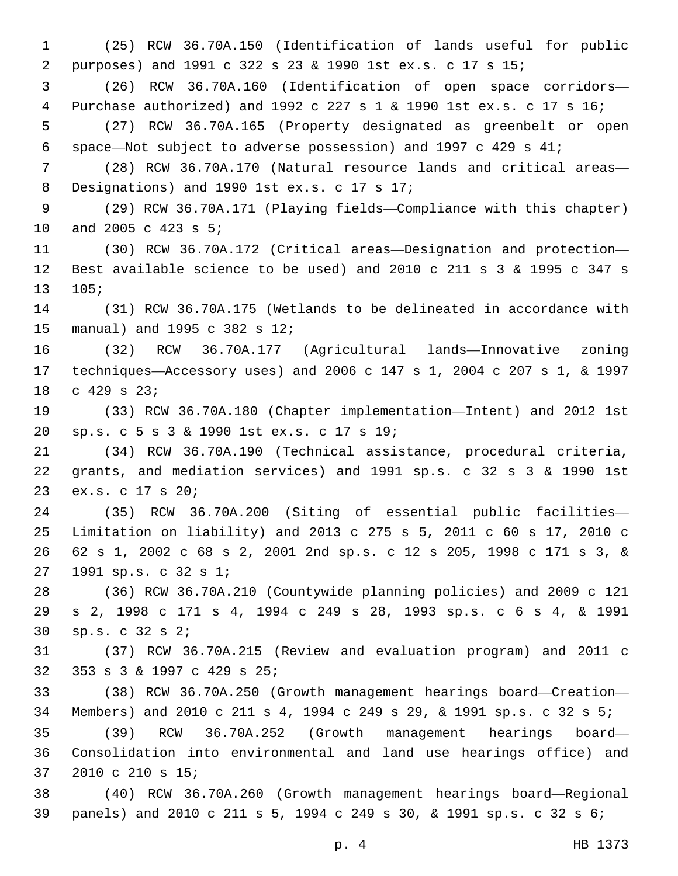(25) RCW 36.70A.150 (Identification of lands useful for public purposes) and 1991 c 322 s 23 & 1990 1st ex.s. c 17 s 15; (26) RCW 36.70A.160 (Identification of open space corridors— Purchase authorized) and 1992 c 227 s 1 & 1990 1st ex.s. c 17 s 16; (27) RCW 36.70A.165 (Property designated as greenbelt or open space—Not subject to adverse possession) and 1997 c 429 s 41; (28) RCW 36.70A.170 (Natural resource lands and critical areas— 8 Designations) and 1990 1st ex.s. c 17 s 17; (29) RCW 36.70A.171 (Playing fields—Compliance with this chapter) 10 and 2005 c 423 s 5; (30) RCW 36.70A.172 (Critical areas—Designation and protection— Best available science to be used) and 2010 c 211 s 3 & 1995 c 347 s 105; (31) RCW 36.70A.175 (Wetlands to be delineated in accordance with 15 manual) and 1995 c 382 s 12; (32) RCW 36.70A.177 (Agricultural lands—Innovative zoning techniques—Accessory uses) and 2006 c 147 s 1, 2004 c 207 s 1, & 1997 18 c 429 s 23; (33) RCW 36.70A.180 (Chapter implementation—Intent) and 2012 1st sp.s. c 5 s 3 & 1990 1st ex.s. c 17 s 19;20 (34) RCW 36.70A.190 (Technical assistance, procedural criteria, grants, and mediation services) and 1991 sp.s. c 32 s 3 & 1990 1st 23 ex.s. c 17 s 20; (35) RCW 36.70A.200 (Siting of essential public facilities— Limitation on liability) and 2013 c 275 s 5, 2011 c 60 s 17, 2010 c 62 s 1, 2002 c 68 s 2, 2001 2nd sp.s. c 12 s 205, 1998 c 171 s 3, & 27 1991 sp.s. c 32 s 1; (36) RCW 36.70A.210 (Countywide planning policies) and 2009 c 121 s 2, 1998 c 171 s 4, 1994 c 249 s 28, 1993 sp.s. c 6 s 4, & 1991 sp.s. c 32 s 2;30 (37) RCW 36.70A.215 (Review and evaluation program) and 2011 c 32 353 s 3 & 1997 c 429 s 25; (38) RCW 36.70A.250 (Growth management hearings board—Creation— Members) and 2010 c 211 s 4, 1994 c 249 s 29, & 1991 sp.s. c 32 s 5; (39) RCW 36.70A.252 (Growth management hearings board— Consolidation into environmental and land use hearings office) and 37 2010 c 210 s 15; (40) RCW 36.70A.260 (Growth management hearings board—Regional panels) and 2010 c 211 s 5, 1994 c 249 s 30, & 1991 sp.s. c 32 s 6;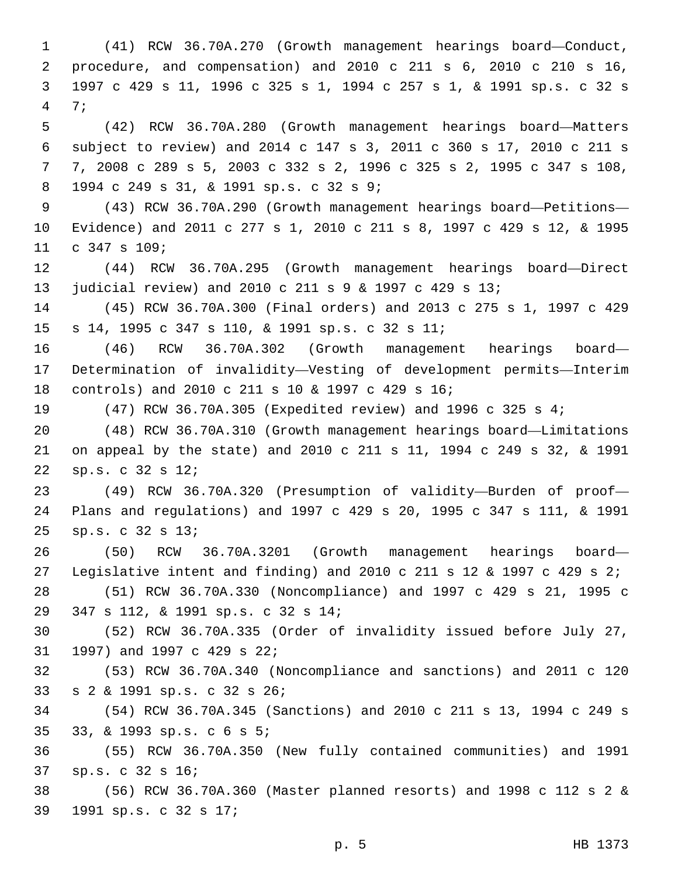(41) RCW 36.70A.270 (Growth management hearings board—Conduct, procedure, and compensation) and 2010 c 211 s 6, 2010 c 210 s 16, 1997 c 429 s 11, 1996 c 325 s 1, 1994 c 257 s 1, & 1991 sp.s. c 32 s 7;4 (42) RCW 36.70A.280 (Growth management hearings board—Matters subject to review) and 2014 c 147 s 3, 2011 c 360 s 17, 2010 c 211 s 7, 2008 c 289 s 5, 2003 c 332 s 2, 1996 c 325 s 2, 1995 c 347 s 108, 1994 c 249 s 31, & 1991 sp.s. c 32 s 9;8 (43) RCW 36.70A.290 (Growth management hearings board—Petitions— Evidence) and 2011 c 277 s 1, 2010 c 211 s 8, 1997 c 429 s 12, & 1995 11 c 347 s 109; (44) RCW 36.70A.295 (Growth management hearings board—Direct judicial review) and 2010 c 211 s 9 & 1997 c 429 s 13; (45) RCW 36.70A.300 (Final orders) and 2013 c 275 s 1, 1997 c 429 s 14, 1995 c 347 s 110, & 1991 sp.s. c 32 s 11;15 (46) RCW 36.70A.302 (Growth management hearings board— Determination of invalidity—Vesting of development permits—Interim controls) and 2010 c 211 s 10 & 1997 c 429 s 16;18 (47) RCW 36.70A.305 (Expedited review) and 1996 c 325 s 4; (48) RCW 36.70A.310 (Growth management hearings board—Limitations on appeal by the state) and 2010 c 211 s 11, 1994 c 249 s 32, & 1991 sp.s. c 32 s 12;22 (49) RCW 36.70A.320 (Presumption of validity—Burden of proof— Plans and regulations) and 1997 c 429 s 20, 1995 c 347 s 111, & 1991 sp.s. c 32 s 13;25 (50) RCW 36.70A.3201 (Growth management hearings board— Legislative intent and finding) and 2010 c 211 s 12 & 1997 c 429 s 2; (51) RCW 36.70A.330 (Noncompliance) and 1997 c 429 s 21, 1995 c 347 s 112, & 1991 sp.s. c 32 s 14;29 (52) RCW 36.70A.335 (Order of invalidity issued before July 27, 31 1997) and 1997 c 429 s 22; (53) RCW 36.70A.340 (Noncompliance and sanctions) and 2011 c 120 s 2 & 1991 sp.s. c 32 s 26;33 (54) RCW 36.70A.345 (Sanctions) and 2010 c 211 s 13, 1994 c 249 s 33, & 1993 sp.s. c 6 s 5;35 (55) RCW 36.70A.350 (New fully contained communities) and 1991 37 sp.s. c 32 s 16; (56) RCW 36.70A.360 (Master planned resorts) and 1998 c 112 s 2 & 1991 sp.s. c 32 s 17;39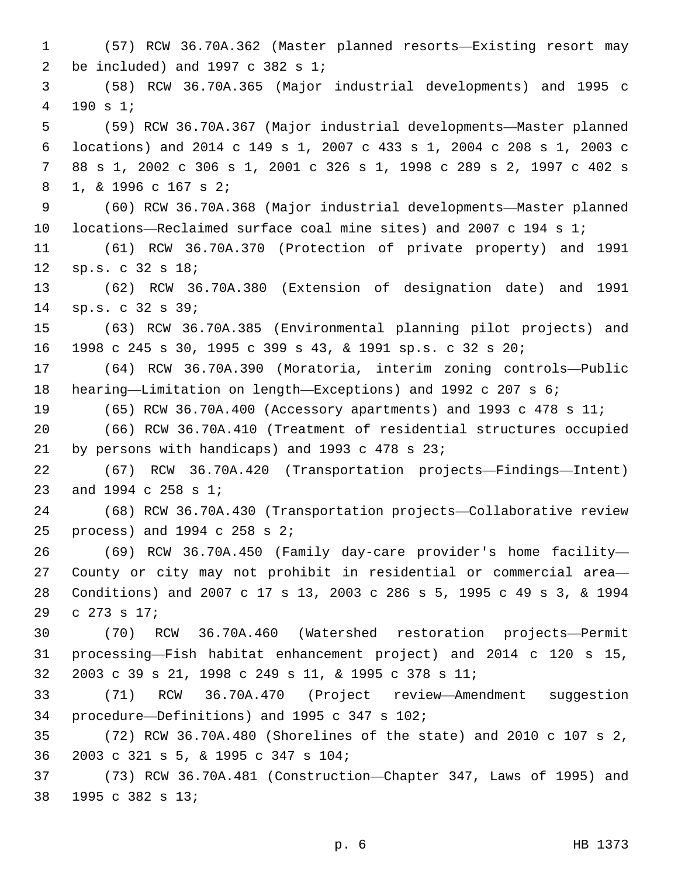(57) RCW 36.70A.362 (Master planned resorts—Existing resort may 2 be included) and c  $382$  s  $1$ ; (58) RCW 36.70A.365 (Major industrial developments) and 1995 c 190 s 1;4 (59) RCW 36.70A.367 (Major industrial developments—Master planned locations) and 2014 c 149 s 1, 2007 c 433 s 1, 2004 c 208 s 1, 2003 c 88 s 1, 2002 c 306 s 1, 2001 c 326 s 1, 1998 c 289 s 2, 1997 c 402 s 1, & 1996 c 167 s 2;8 (60) RCW 36.70A.368 (Major industrial developments—Master planned locations—Reclaimed surface coal mine sites) and 2007 c 194 s 1; (61) RCW 36.70A.370 (Protection of private property) and 1991 12 sp.s. c 32 s 18; (62) RCW 36.70A.380 (Extension of designation date) and 1991 sp.s. c 32 s 39;14 (63) RCW 36.70A.385 (Environmental planning pilot projects) and 1998 c 245 s 30, 1995 c 399 s 43, & 1991 sp.s. c 32 s 20; (64) RCW 36.70A.390 (Moratoria, interim zoning controls—Public hearing—Limitation on length—Exceptions) and 1992 c 207 s 6; (65) RCW 36.70A.400 (Accessory apartments) and 1993 c 478 s 11; (66) RCW 36.70A.410 (Treatment of residential structures occupied 21 by persons with handicaps) and 1993 c 478 s 23; (67) RCW 36.70A.420 (Transportation projects—Findings—Intent) 23 and 1994 c 258 s 1; (68) RCW 36.70A.430 (Transportation projects—Collaborative review 25 process) and c  $258$  s  $2$ ; (69) RCW 36.70A.450 (Family day-care provider's home facility— County or city may not prohibit in residential or commercial area— Conditions) and 2007 c 17 s 13, 2003 c 286 s 5, 1995 c 49 s 3, & 1994 29 c 273 s 17; (70) RCW 36.70A.460 (Watershed restoration projects—Permit processing—Fish habitat enhancement project) and 2014 c 120 s 15, 2003 c 39 s 21, 1998 c 249 s 11, & 1995 c 378 s 11; (71) RCW 36.70A.470 (Project review—Amendment suggestion procedure—Definitions) and 1995 c 347 s 102;34 (72) RCW 36.70A.480 (Shorelines of the state) and 2010 c 107 s 2, 2003 c 321 s 5, & 1995 c 347 s 104;36 (73) RCW 36.70A.481 (Construction—Chapter 347, Laws of 1995) and 38 1995 c 382 s 13;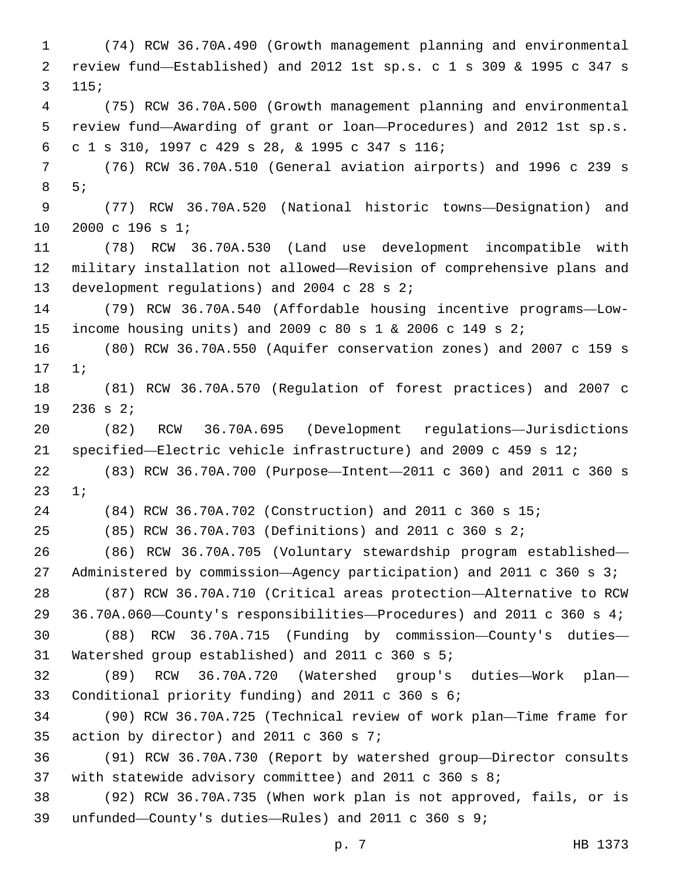(74) RCW 36.70A.490 (Growth management planning and environmental review fund—Established) and 2012 1st sp.s. c 1 s 309 & 1995 c 347 s 115; (75) RCW 36.70A.500 (Growth management planning and environmental review fund—Awarding of grant or loan—Procedures) and 2012 1st sp.s. c 1 s 310, 1997 c 429 s 28, & 1995 c 347 s 116;6 (76) RCW 36.70A.510 (General aviation airports) and 1996 c 239 s 5;8 (77) RCW 36.70A.520 (National historic towns—Designation) and 10 2000 c 196 s 1; (78) RCW 36.70A.530 (Land use development incompatible with military installation not allowed—Revision of comprehensive plans and 13 development regulations) and 2004 c 28 s 2; (79) RCW 36.70A.540 (Affordable housing incentive programs—Low- income housing units) and 2009 c 80 s 1 & 2006 c 149 s 2; (80) RCW 36.70A.550 (Aquifer conservation zones) and 2007 c 159 s 17 1; (81) RCW 36.70A.570 (Regulation of forest practices) and 2007 c  $236$  s  $2i$  (82) RCW 36.70A.695 (Development regulations—Jurisdictions specified—Electric vehicle infrastructure) and 2009 c 459 s 12; (83) RCW 36.70A.700 (Purpose—Intent—2011 c 360) and 2011 c 360 s 23 1; (84) RCW 36.70A.702 (Construction) and 2011 c 360 s 15; (85) RCW 36.70A.703 (Definitions) and 2011 c 360 s 2; (86) RCW 36.70A.705 (Voluntary stewardship program established— Administered by commission—Agency participation) and 2011 c 360 s 3; (87) RCW 36.70A.710 (Critical areas protection—Alternative to RCW 36.70A.060—County's responsibilities—Procedures) and 2011 c 360 s 4; (88) RCW 36.70A.715 (Funding by commission—County's duties— 31 Watershed group established) and 2011 c 360 s 5; (89) RCW 36.70A.720 (Watershed group's duties—Work plan— 33 Conditional priority funding) and 2011 c 360 s 6; (90) RCW 36.70A.725 (Technical review of work plan—Time frame for 35 action by director) and 2011 c 360 s ; (91) RCW 36.70A.730 (Report by watershed group—Director consults with statewide advisory committee) and 2011 c 360 s 8; (92) RCW 36.70A.735 (When work plan is not approved, fails, or is unfunded—County's duties—Rules) and 2011 c 360 s 9;